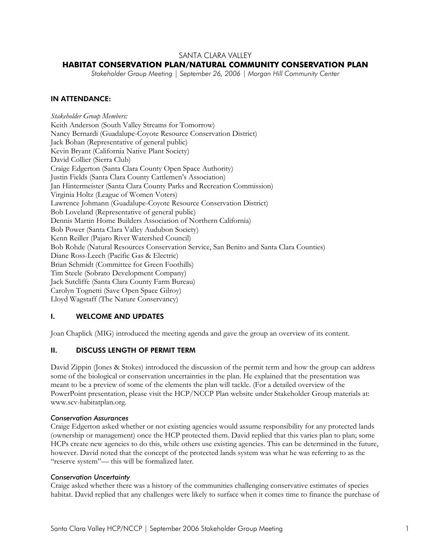# SANTA CLARA VALLEY

## **HABITAT CONSERVATION PLAN/NATURAL COMMUNITY CONSERVATION PLAN**

*Stakeholder Group Meeting | September 26, 2006 | Morgan Hill Community Center* 

### IN ATTENDANCE:

*Stakeholder Group Members:*  Keith Anderson (South Valley Streams for Tomorrow) Nancy Bernardi (Guadalupe-Coyote Resource Conservation District) Jack Bohan (Representative of general public) Kevin Bryant (California Native Plant Society) David Collier (Sierra Club) Craige Edgerton (Santa Clara County Open Space Authority) Justin Fields (Santa Clara County Cattlemen's Association) Jan Hintermeister (Santa Clara County Parks and Recreation Commission) Virginia Holtz (League of Women Voters) Lawrence Johmann (Guadalupe-Coyote Resource Conservation District) Bob Loveland (Representative of general public) Dennis Martin Home Builders Association of Northern California) Bob Power (Santa Clara Valley Audubon Society) Kenn Reiller (Pajaro River Watershed Council) Bob Rohde (Natural Resources Conservation Service, San Benito and Santa Clara Counties) Diane Ross-Leech (Pacific Gas & Electric) Brian Schmidt (Committee for Green Foothills) Tim Steele (Sobrato Development Company) Jack Sutcliffe (Santa Clara County Farm Bureau) Carolyn Tognetti (Save Open Space Gilroy) Lloyd Wagstaff (The Nature Conservancy)

# I. WELCOME AND UPDATES

Joan Chaplick (MIG) introduced the meeting agenda and gave the group an overview of its content.

# II. DISCUSS LENGTH OF PERMIT TERM

David Zippin (Jones & Stokes) introduced the discussion of the permit term and how the group can address some of the biological or conservation uncertainties in the plan. He explained that the presentation was meant to be a preview of some of the elements the plan will tackle. (For a detailed overview of the PowerPoint presentation, please visit the HCP/NCCP Plan website under Stakeholder Group materials at: www.scv-habitatplan.org.

#### *Conservation Assurances*

Craige Edgerton asked whether or not existing agencies would assume responsibility for any protected lands (ownership or management) once the HCP protected them. David replied that this varies plan to plan; some HCPs create new agencies to do this, while others use existing agencies. This can be determined in the future, however. David noted that the concept of the protected lands system was what he was referring to as the "reserve system"— this will be formalized later.

#### *Conservation Uncertainty*

Craige asked whether there was a history of the communities challenging conservative estimates of species habitat. David replied that any challenges were likely to surface when it comes time to finance the purchase of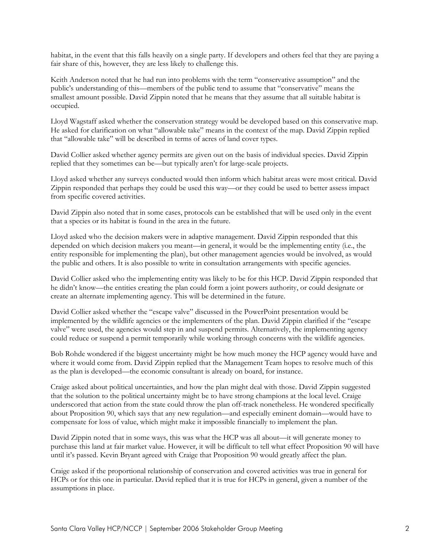habitat, in the event that this falls heavily on a single party. If developers and others feel that they are paying a fair share of this, however, they are less likely to challenge this.

Keith Anderson noted that he had run into problems with the term "conservative assumption" and the public's understanding of this—members of the public tend to assume that "conservative" means the smallest amount possible. David Zippin noted that he means that they assume that all suitable habitat is occupied.

Lloyd Wagstaff asked whether the conservation strategy would be developed based on this conservative map. He asked for clarification on what "allowable take" means in the context of the map. David Zippin replied that "allowable take" will be described in terms of acres of land cover types.

David Collier asked whether agency permits are given out on the basis of individual species. David Zippin replied that they sometimes can be—but typically aren't for large-scale projects.

Lloyd asked whether any surveys conducted would then inform which habitat areas were most critical. David Zippin responded that perhaps they could be used this way—or they could be used to better assess impact from specific covered activities.

David Zippin also noted that in some cases, protocols can be established that will be used only in the event that a species or its habitat is found in the area in the future.

Lloyd asked who the decision makers were in adaptive management. David Zippin responded that this depended on which decision makers you meant—in general, it would be the implementing entity (i.e., the entity responsible for implementing the plan), but other management agencies would be involved, as would the public and others. It is also possible to write in consultation arrangements with specific agencies.

David Collier asked who the implementing entity was likely to be for this HCP. David Zippin responded that he didn't know—the entities creating the plan could form a joint powers authority, or could designate or create an alternate implementing agency. This will be determined in the future.

David Collier asked whether the "escape valve" discussed in the PowerPoint presentation would be implemented by the wildlife agencies or the implementers of the plan. David Zippin clarified if the "escape valve" were used, the agencies would step in and suspend permits. Alternatively, the implementing agency could reduce or suspend a permit temporarily while working through concerns with the wildlife agencies.

Bob Rohde wondered if the biggest uncertainty might be how much money the HCP agency would have and where it would come from. David Zippin replied that the Management Team hopes to resolve much of this as the plan is developed—the economic consultant is already on board, for instance.

Craige asked about political uncertainties, and how the plan might deal with those. David Zippin suggested that the solution to the political uncertainty might be to have strong champions at the local level. Craige underscored that action from the state could throw the plan off-track nonetheless. He wondered specifically about Proposition 90, which says that any new regulation—and especially eminent domain—would have to compensate for loss of value, which might make it impossible financially to implement the plan.

David Zippin noted that in some ways, this was what the HCP was all about—it will generate money to purchase this land at fair market value. However, it will be difficult to tell what effect Proposition 90 will have until it's passed. Kevin Bryant agreed with Craige that Proposition 90 would greatly affect the plan.

Craige asked if the proportional relationship of conservation and covered activities was true in general for HCPs or for this one in particular. David replied that it is true for HCPs in general, given a number of the assumptions in place.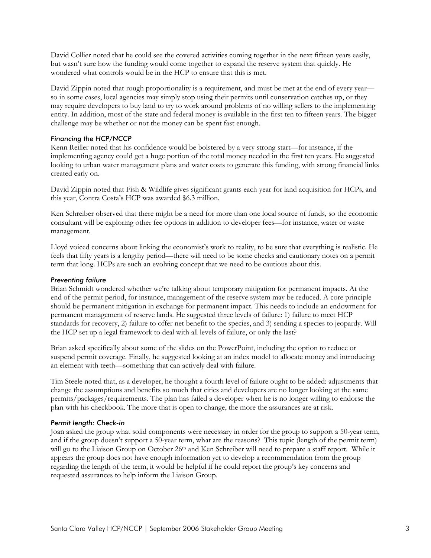David Collier noted that he could see the covered activities coming together in the next fifteen years easily, but wasn't sure how the funding would come together to expand the reserve system that quickly. He wondered what controls would be in the HCP to ensure that this is met.

David Zippin noted that rough proportionality is a requirement, and must be met at the end of every year so in some cases, local agencies may simply stop using their permits until conservation catches up, or they may require developers to buy land to try to work around problems of no willing sellers to the implementing entity. In addition, most of the state and federal money is available in the first ten to fifteen years. The bigger challenge may be whether or not the money can be spent fast enough.

# *Financing the HCP/NCCP*

Kenn Reiller noted that his confidence would be bolstered by a very strong start—for instance, if the implementing agency could get a huge portion of the total money needed in the first ten years. He suggested looking to urban water management plans and water costs to generate this funding, with strong financial links created early on.

David Zippin noted that Fish & Wildlife gives significant grants each year for land acquisition for HCPs, and this year, Contra Costa's HCP was awarded \$6.3 million.

Ken Schreiber observed that there might be a need for more than one local source of funds, so the economic consultant will be exploring other fee options in addition to developer fees—for instance, water or waste management.

Lloyd voiced concerns about linking the economist's work to reality, to be sure that everything is realistic. He feels that fifty years is a lengthy period—there will need to be some checks and cautionary notes on a permit term that long. HCPs are such an evolving concept that we need to be cautious about this.

### *Preventing failure*

Brian Schmidt wondered whether we're talking about temporary mitigation for permanent impacts. At the end of the permit period, for instance, management of the reserve system may be reduced. A core principle should be permanent mitigation in exchange for permanent impact. This needs to include an endowment for permanent management of reserve lands. He suggested three levels of failure: 1) failure to meet HCP standards for recovery, 2) failure to offer net benefit to the species, and 3) sending a species to jeopardy. Will the HCP set up a legal framework to deal with all levels of failure, or only the last?

Brian asked specifically about some of the slides on the PowerPoint, including the option to reduce or suspend permit coverage. Finally, he suggested looking at an index model to allocate money and introducing an element with teeth—something that can actively deal with failure.

Tim Steele noted that, as a developer, he thought a fourth level of failure ought to be added: adjustments that change the assumptions and benefits so much that cities and developers are no longer looking at the same permits/packages/requirements. The plan has failed a developer when he is no longer willing to endorse the plan with his checkbook. The more that is open to change, the more the assurances are at risk.

### *Permit length: Check-in*

Joan asked the group what solid components were necessary in order for the group to support a 50-year term, and if the group doesn't support a 50-year term, what are the reasons? This topic (length of the permit term) will go to the Liaison Group on October 26<sup>th</sup> and Ken Schreiber will need to prepare a staff report. While it appears the group does not have enough information yet to develop a recommendation from the group regarding the length of the term, it would be helpful if he could report the group's key concerns and requested assurances to help inform the Liaison Group.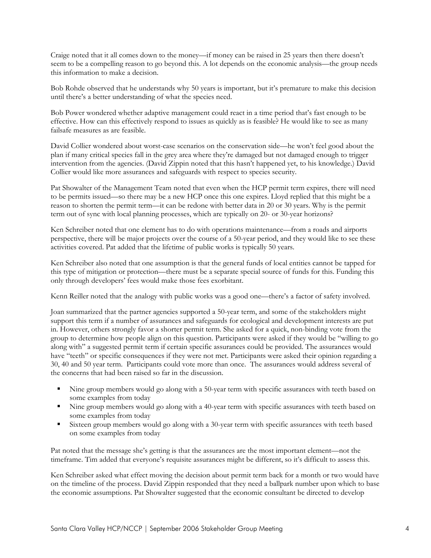Craige noted that it all comes down to the money—if money can be raised in 25 years then there doesn't seem to be a compelling reason to go beyond this. A lot depends on the economic analysis—the group needs this information to make a decision.

Bob Rohde observed that he understands why 50 years is important, but it's premature to make this decision until there's a better understanding of what the species need.

Bob Power wondered whether adaptive management could react in a time period that's fast enough to be effective. How can this effectively respond to issues as quickly as is feasible? He would like to see as many failsafe measures as are feasible.

David Collier wondered about worst-case scenarios on the conservation side—he won't feel good about the plan if many critical species fall in the grey area where they're damaged but not damaged enough to trigger intervention from the agencies. (David Zippin noted that this hasn't happened yet, to his knowledge.) David Collier would like more assurances and safeguards with respect to species security.

Pat Showalter of the Management Team noted that even when the HCP permit term expires, there will need to be permits issued—so there may be a new HCP once this one expires. Lloyd replied that this might be a reason to shorten the permit term—it can be redone with better data in 20 or 30 years. Why is the permit term out of sync with local planning processes, which are typically on 20- or 30-year horizons?

Ken Schreiber noted that one element has to do with operations maintenance—from a roads and airports perspective, there will be major projects over the course of a 50-year period, and they would like to see these activities covered. Pat added that the lifetime of public works is typically 50 years.

Ken Schreiber also noted that one assumption is that the general funds of local entities cannot be tapped for this type of mitigation or protection—there must be a separate special source of funds for this. Funding this only through developers' fees would make those fees exorbitant.

Kenn Reiller noted that the analogy with public works was a good one—there's a factor of safety involved.

Joan summarized that the partner agencies supported a 50-year term, and some of the stakeholders might support this term if a number of assurances and safeguards for ecological and development interests are put in. However, others strongly favor a shorter permit term. She asked for a quick, non-binding vote from the group to determine how people align on this question. Participants were asked if they would be "willing to go along with" a suggested permit term if certain specific assurances could be provided. The assurances would have "teeth" or specific consequences if they were not met. Participants were asked their opinion regarding a 30, 40 and 50 year term. Participants could vote more than once. The assurances would address several of the concerns that had been raised so far in the discussion.

- Nine group members would go along with a 50-year term with specific assurances with teeth based on some examples from today
- Nine group members would go along with a 40-year term with specific assurances with teeth based on some examples from today
- Sixteen group members would go along with a 30-year term with specific assurances with teeth based on some examples from today

Pat noted that the message she's getting is that the assurances are the most important element—not the timeframe. Tim added that everyone's requisite assurances might be different, so it's difficult to assess this.

Ken Schreiber asked what effect moving the decision about permit term back for a month or two would have on the timeline of the process. David Zippin responded that they need a ballpark number upon which to base the economic assumptions. Pat Showalter suggested that the economic consultant be directed to develop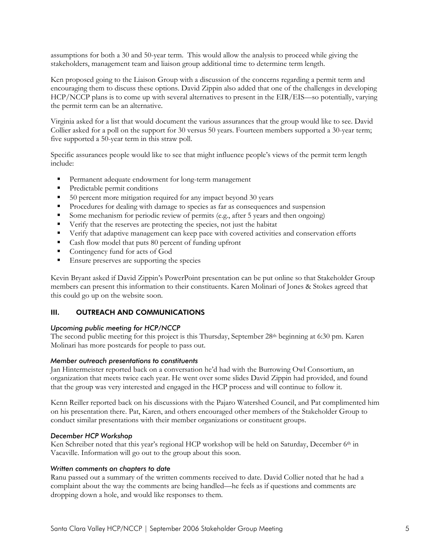assumptions for both a 30 and 50-year term. This would allow the analysis to proceed while giving the stakeholders, management team and liaison group additional time to determine term length.

Ken proposed going to the Liaison Group with a discussion of the concerns regarding a permit term and encouraging them to discuss these options. David Zippin also added that one of the challenges in developing HCP/NCCP plans is to come up with several alternatives to present in the EIR/EIS—so potentially, varying the permit term can be an alternative.

Virginia asked for a list that would document the various assurances that the group would like to see. David Collier asked for a poll on the support for 30 versus 50 years. Fourteen members supported a 30-year term; five supported a 50-year term in this straw poll.

Specific assurances people would like to see that might influence people's views of the permit term length include:

- **Permanent adequate endowment for long-term management**
- Predictable permit conditions
- 50 percent more mitigation required for any impact beyond 30 years
- Procedures for dealing with damage to species as far as consequences and suspension
- Some mechanism for periodic review of permits (e.g., after 5 years and then ongoing)
- Verify that the reserves are protecting the species, not just the habitat
- Verify that adaptive management can keep pace with covered activities and conservation efforts
- Cash flow model that puts 80 percent of funding upfront
- Contingency fund for acts of God
- Ensure preserves are supporting the species

Kevin Bryant asked if David Zippin's PowerPoint presentation can be put online so that Stakeholder Group members can present this information to their constituents. Karen Molinari of Jones & Stokes agreed that this could go up on the website soon.

# III. OUTREACH AND COMMUNICATIONS

### *Upcoming public meeting for HCP/NCCP*

The second public meeting for this project is this Thursday, September 28<sup>th</sup> beginning at 6:30 pm. Karen Molinari has more postcards for people to pass out.

### *Member outreach presentations to constituents*

Jan Hintermeister reported back on a conversation he'd had with the Burrowing Owl Consortium, an organization that meets twice each year. He went over some slides David Zippin had provided, and found that the group was very interested and engaged in the HCP process and will continue to follow it.

Kenn Reiller reported back on his discussions with the Pajaro Watershed Council, and Pat complimented him on his presentation there. Pat, Karen, and others encouraged other members of the Stakeholder Group to conduct similar presentations with their member organizations or constituent groups.

### *December HCP Workshop*

Ken Schreiber noted that this year's regional HCP workshop will be held on Saturday, December 6<sup>th</sup> in Vacaville. Information will go out to the group about this soon.

### *Written comments on chapters to date*

Ranu passed out a summary of the written comments received to date. David Collier noted that he had a complaint about the way the comments are being handled—he feels as if questions and comments are dropping down a hole, and would like responses to them.